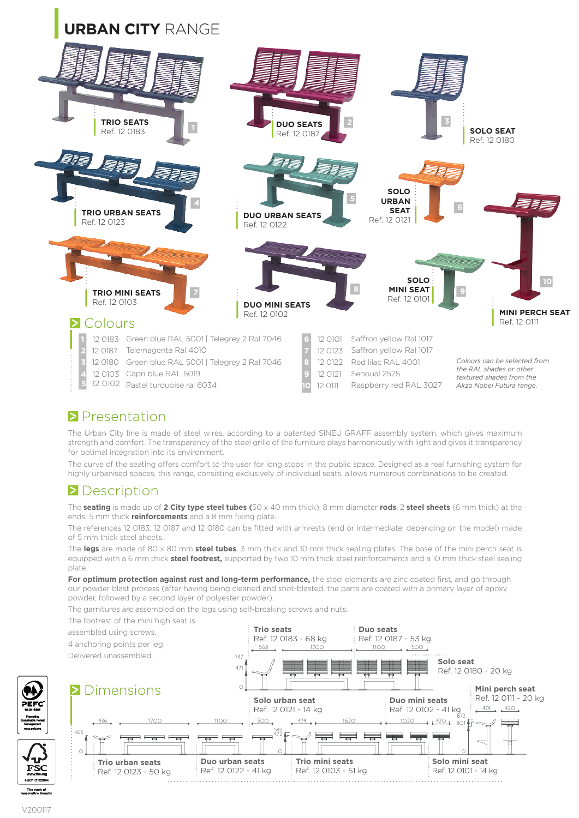

## **Presentation**

The Urban City line is made of steel wires, according to a patented SINEU GRAFF assembly system, which gives maximum strength and comfort. The transparency of the steel grille of the furniture plays harmoniously with light and gives it transparency for optimal integration into its environment.

The curve of the seating offers comfort to the user for long stops in the public space. Designed as a real furnishing system for highly urbanised spaces, this range, consisting exclusively of individual seats, allows numerous combinations to be created.

### **Description**

The **seating** is made up of **2 City type steel tubes (**50 x 40 mm thick), 8 mm diameter **rods**, 2 **steel sheets** (6 mm thick) at the ends, 5 mm thick **reinforcements** and a 8 mm fixing plate.

The references 12 0183, 12 0187 and 12 0180 can be fitted with armrests (end or intermediate, depending on the model) made of 5 mm thick steel sheets.

The **legs** are made of 80 x 80 mm **steel tubes**, 3 mm thick and 10 mm thick sealing plates. The base of the mini perch seat is equipped with a 6 mm thick **steel footrest,** supported by two 10 mm thick steel reinforcements and a 10 mm thick steel sealing plate.

For optimum protection against rust and long-term performance, the steel elements are zinc coated first, and go through our powder blast process (after having being cleaned and shot-blasted, the parts are coated with a primary layer of epoxy powder, followed by a second layer of polyester powder).

The garnitures are assembled on the legs using self-breaking screws and nuts.

The footrest of the mini high seat is



V200117

FSC

The mark of<br>engoglish from